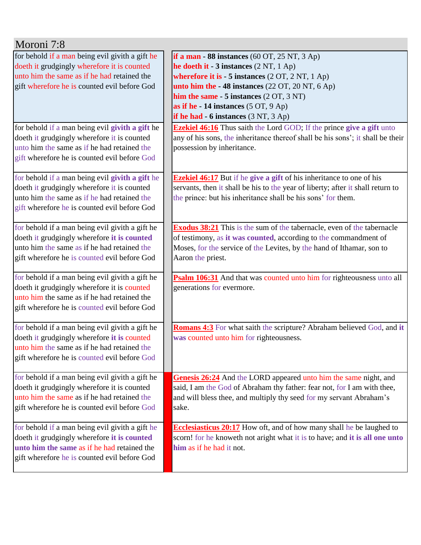| Moroni 7:8                                      |                                                                                 |
|-------------------------------------------------|---------------------------------------------------------------------------------|
| for behold if a man being evil givith a gift he | if a man - 88 instances $(60 \text{ OT}, 25 \text{ NT}, 3 \text{ Ap})$          |
| doeth it grudgingly wherefore it is counted     | he doeth it $-3$ instances $(2 \text{ NT}, 1 \text{ Ap})$                       |
| unto him the same as if he had retained the     | wherefore it is - 5 instances (2 OT, 2 NT, 1 Ap)                                |
| gift wherefore he is counted evil before God    | unto him the $-48$ instances (22 OT, 20 NT, 6 Ap)                               |
|                                                 | him the same - $5$ instances $(2 OT, 3 NT)$                                     |
|                                                 | as if he - 14 instances $(5 OT, 9 Ap)$                                          |
|                                                 | if he had $-6$ instances $(3 NT, 3 Ap)$                                         |
| for behold if a man being evil givith a gift he | <b>Ezekiel 46:16</b> Thus saith the Lord GOD; If the prince give a gift unto    |
| doeth it grudgingly wherefore it is counted     | any of his sons, the inheritance thereof shall be his sons'; it shall be their  |
| unto him the same as if he had retained the     | possession by inheritance.                                                      |
| gift wherefore he is counted evil before God    |                                                                                 |
|                                                 |                                                                                 |
| for behold if a man being evil givith a gift he | <b>Ezekiel 46:17</b> But if he give a gift of his inheritance to one of his     |
| doeth it grudgingly wherefore it is counted     | servants, then it shall be his to the year of liberty; after it shall return to |
| unto him the same as if he had retained the     | the prince: but his inheritance shall be his sons' for them.                    |
| gift wherefore he is counted evil before God    |                                                                                 |
|                                                 |                                                                                 |
| for behold if a man being evil givith a gift he | <b>Exodus 38:21</b> This is the sum of the tabernacle, even of the tabernacle   |
| doeth it grudgingly wherefore it is counted     | of testimony, as it was counted, according to the commandment of                |
| unto him the same as if he had retained the     | Moses, for the service of the Levites, by the hand of Ithamar, son to           |
| gift wherefore he is counted evil before God    | Aaron the priest.                                                               |
|                                                 |                                                                                 |
| for behold if a man being evil givith a gift he | Psalm 106:31 And that was counted unto him for righteousness unto all           |
| doeth it grudgingly wherefore it is counted     | generations for evermore.                                                       |
| unto him the same as if he had retained the     |                                                                                 |
| gift wherefore he is counted evil before God    |                                                                                 |
|                                                 |                                                                                 |
| for behold if a man being evil givith a gift he | Romans 4:3 For what saith the scripture? Abraham believed God, and it           |
| doeth it grudgingly wherefore it is counted     | was counted unto him for righteousness.                                         |
| unto him the same as if he had retained the     |                                                                                 |
| gift wherefore he is counted evil before God    |                                                                                 |
| for behold if a man being evil givith a gift he | Genesis 26:24 And the LORD appeared unto him the same night, and                |
| doeth it grudgingly wherefore it is counted     | said, I am the God of Abraham thy father: fear not, for I am with thee,         |
| unto him the same as if he had retained the     | and will bless thee, and multiply thy seed for my servant Abraham's             |
| gift wherefore he is counted evil before God    | sake.                                                                           |
|                                                 |                                                                                 |
| for behold if a man being evil givith a gift he | <b>Ecclesiasticus 20:17</b> How oft, and of how many shall he be laughed to     |
| doeth it grudgingly wherefore it is counted     | scorn! for he knoweth not aright what it is to have; and it is all one unto     |
| unto him the same as if he had retained the     | him as if he had it not.                                                        |
| gift wherefore he is counted evil before God    |                                                                                 |
|                                                 |                                                                                 |